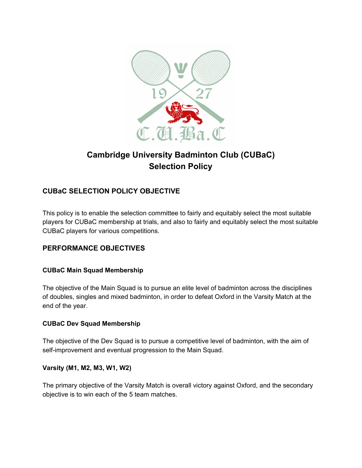

# **Cambridge University Badminton Club (CUBaC) Selection Policy**

## **CUBaC SELECTION POLICY OBJECTIVE**

This policy is to enable the selection committee to fairly and equitably select the most suitable players for CUBaC membership at trials, and also to fairly and equitably select the most suitable CUBaC players for various competitions.

## **PERFORMANCE OBJECTIVES**

## **CUBaC Main Squad Membership**

The objective of the Main Squad is to pursue an elite level of badminton across the disciplines of doubles, singles and mixed badminton, in order to defeat Oxford in the Varsity Match at the end of the year.

## **CUBaC Dev Squad Membership**

The objective of the Dev Squad is to pursue a competitive level of badminton, with the aim of self-improvement and eventual progression to the Main Squad.

#### **Varsity (M1, M2, M3, W1, W2)**

The primary objective of the Varsity Match is overall victory against Oxford, and the secondary objective is to win each of the 5 team matches.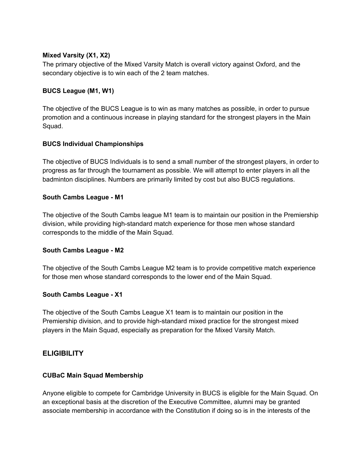#### **Mixed Varsity (X1, X2)**

The primary objective of the Mixed Varsity Match is overall victory against Oxford, and the secondary objective is to win each of the 2 team matches.

#### **BUCS League (M1, W1)**

The objective of the BUCS League is to win as many matches as possible, in order to pursue promotion and a continuous increase in playing standard for the strongest players in the Main Squad.

#### **BUCS Individual Championships**

The objective of BUCS Individuals is to send a small number of the strongest players, in order to progress as far through the tournament as possible. We will attempt to enter players in all the badminton disciplines. Numbers are primarily limited by cost but also BUCS regulations.

#### **South Cambs League - M1**

The objective of the South Cambs league M1 team is to maintain our position in the Premiership division, while providing high-standard match experience for those men whose standard corresponds to the middle of the Main Squad.

#### **South Cambs League - M2**

The objective of the South Cambs League M2 team is to provide competitive match experience for those men whose standard corresponds to the lower end of the Main Squad.

## **South Cambs League - X1**

The objective of the South Cambs League X1 team is to maintain our position in the Premiership division, and to provide high-standard mixed practice for the strongest mixed players in the Main Squad, especially as preparation for the Mixed Varsity Match.

## **ELIGIBILITY**

#### **CUBaC Main Squad Membership**

Anyone eligible to compete for Cambridge University in BUCS is eligible for the Main Squad. On an exceptional basis at the discretion of the Executive Committee, alumni may be granted associate membership in accordance with the Constitution if doing so is in the interests of the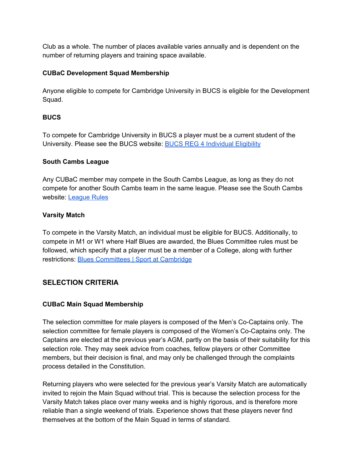Club as a whole. The number of places available varies annually and is dependent on the number of returning players and training space available.

## **CUBaC Development Squad Membership**

Anyone eligible to compete for Cambridge University in BUCS is eligible for the Development Squad.

## **BUCS**

To compete for Cambridge University in BUCS a player must be a current student of the University. Please see the BUCS website: BUCS REG 4 [Individual](https://www.bucs.org.uk/compete/rules-and-regulations/general-regulations/reg-4-individual-eligibility.html) Eligibility

## **South Cambs League**

Any CUBaC member may compete in the South Cambs League, as long as they do not compete for another South Cambs team in the same league. Please see the South Cambs website: [League](http://scambsbadminton.net/index.php/rules-docs-committee/league-rules/) Rules

## **Varsity Match**

To compete in the Varsity Match, an individual must be eligible for BUCS. Additionally, to compete in M1 or W1 where Half Blues are awarded, the Blues Committee rules must be followed, which specify that a player must be a member of a College, along with further restrictions: Blues [Committees](https://www.sport.cam.ac.uk/student-sport/blues-committees) | Sport at Cambridge

## **SELECTION CRITERIA**

## **CUBaC Main Squad Membership**

The selection committee for male players is composed of the Men's Co-Captains only. The selection committee for female players is composed of the Women's Co-Captains only. The Captains are elected at the previous year's AGM, partly on the basis of their suitability for this selection role. They may seek advice from coaches, fellow players or other Committee members, but their decision is final, and may only be challenged through the complaints process detailed in the Constitution.

Returning players who were selected for the previous year's Varsity Match are automatically invited to rejoin the Main Squad without trial. This is because the selection process for the Varsity Match takes place over many weeks and is highly rigorous, and is therefore more reliable than a single weekend of trials. Experience shows that these players never find themselves at the bottom of the Main Squad in terms of standard.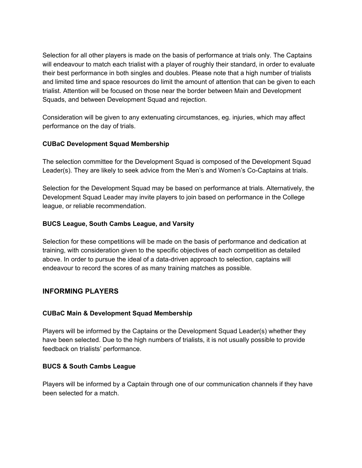Selection for all other players is made on the basis of performance at trials only. The Captains will endeavour to match each trialist with a player of roughly their standard, in order to evaluate their best performance in both singles and doubles. Please note that a high number of trialists and limited time and space resources do limit the amount of attention that can be given to each trialist. Attention will be focused on those near the border between Main and Development Squads, and between Development Squad and rejection.

Consideration will be given to any extenuating circumstances, eg. injuries, which may affect performance on the day of trials.

#### **CUBaC Development Squad Membership**

The selection committee for the Development Squad is composed of the Development Squad Leader(s). They are likely to seek advice from the Men's and Women's Co-Captains at trials.

Selection for the Development Squad may be based on performance at trials. Alternatively, the Development Squad Leader may invite players to join based on performance in the College league, or reliable recommendation.

#### **BUCS League, South Cambs League, and Varsity**

Selection for these competitions will be made on the basis of performance and dedication at training, with consideration given to the specific objectives of each competition as detailed above. In order to pursue the ideal of a data-driven approach to selection, captains will endeavour to record the scores of as many training matches as possible.

## **INFORMING PLAYERS**

## **CUBaC Main & Development Squad Membership**

Players will be informed by the Captains or the Development Squad Leader(s) whether they have been selected. Due to the high numbers of trialists, it is not usually possible to provide feedback on trialists' performance.

#### **BUCS & South Cambs League**

Players will be informed by a Captain through one of our communication channels if they have been selected for a match.